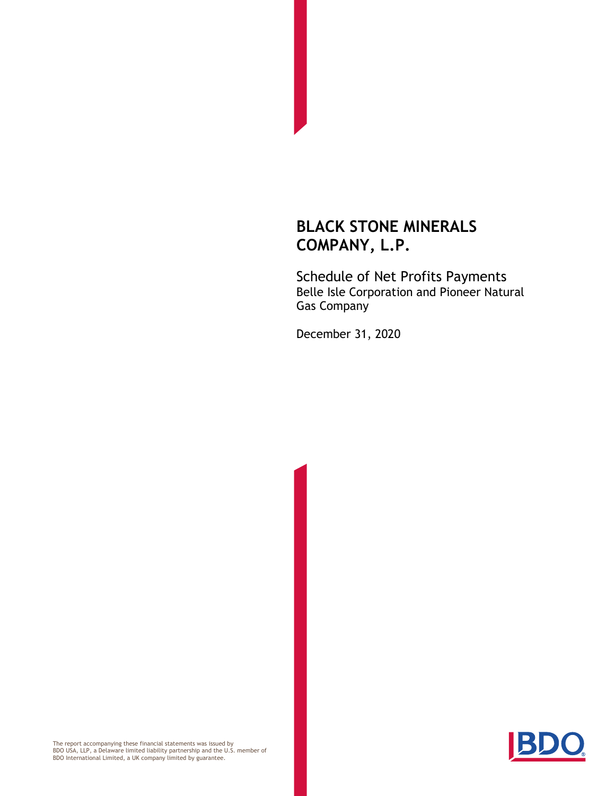Schedule of Net Profits Payments Belle Isle Corporation and Pioneer Natural Gas Company

December 31, 2020



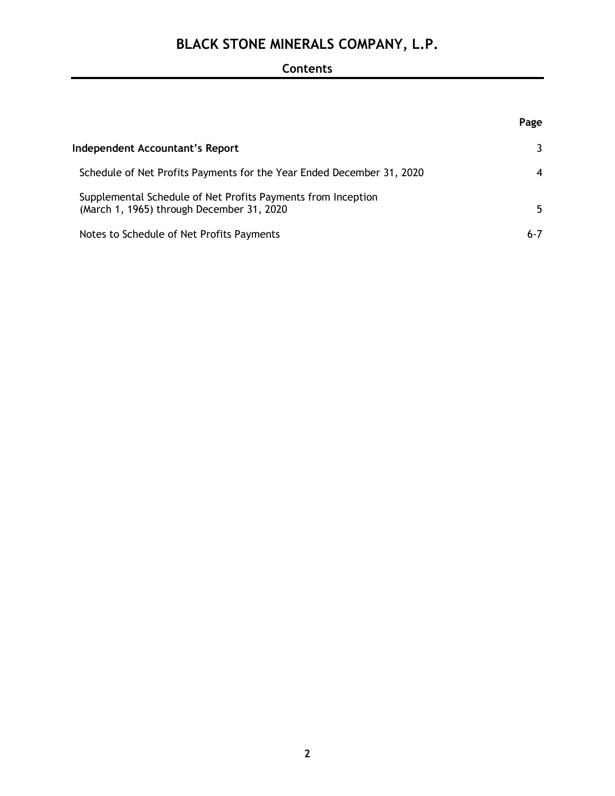### **Contents**

|                                                                                                           | Page    |
|-----------------------------------------------------------------------------------------------------------|---------|
| Independent Accountant's Report                                                                           |         |
| Schedule of Net Profits Payments for the Year Ended December 31, 2020                                     | 4       |
| Supplemental Schedule of Net Profits Payments from Inception<br>(March 1, 1965) through December 31, 2020 | 5.      |
| Notes to Schedule of Net Profits Payments                                                                 | $6 - 7$ |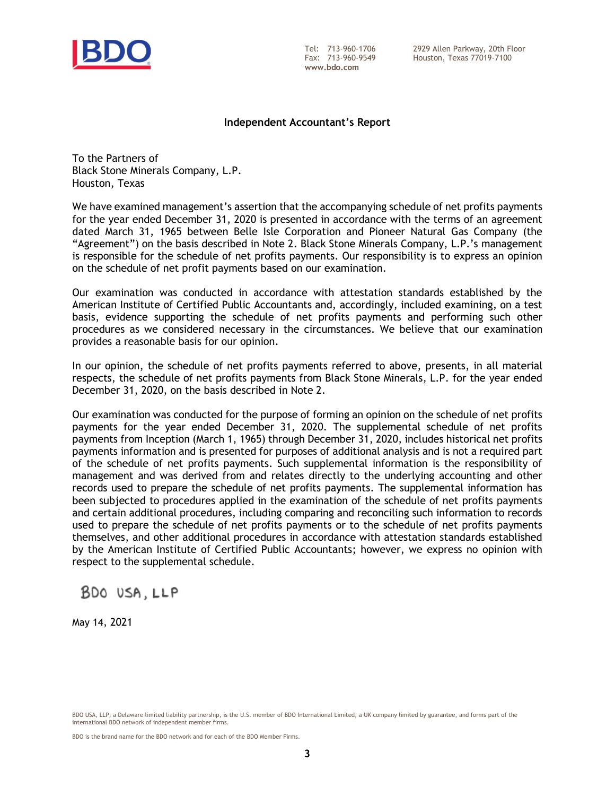

**www.bdo.com**

#### **Independent Accountant's Report**

To the Partners of Black Stone Minerals Company, L.P. Houston, Texas

We have examined management's assertion that the accompanying schedule of net profits payments for the year ended December 31, 2020 is presented in accordance with the terms of an agreement dated March 31, 1965 between Belle Isle Corporation and Pioneer Natural Gas Company (the "Agreement") on the basis described in Note 2. Black Stone Minerals Company, L.P.'s management is responsible for the schedule of net profits payments. Our responsibility is to express an opinion on the schedule of net profit payments based on our examination.

Our examination was conducted in accordance with attestation standards established by the American Institute of Certified Public Accountants and, accordingly, included examining, on a test basis, evidence supporting the schedule of net profits payments and performing such other procedures as we considered necessary in the circumstances. We believe that our examination provides a reasonable basis for our opinion.

In our opinion, the schedule of net profits payments referred to above, presents, in all material respects, the schedule of net profits payments from Black Stone Minerals, L.P. for the year ended December 31, 2020, on the basis described in Note 2.

Our examination was conducted for the purpose of forming an opinion on the schedule of net profits payments for the year ended December 31, 2020. The supplemental schedule of net profits payments from Inception (March 1, 1965) through December 31, 2020, includes historical net profits payments information and is presented for purposes of additional analysis and is not a required part of the schedule of net profits payments. Such supplemental information is the responsibility of management and was derived from and relates directly to the underlying accounting and other records used to prepare the schedule of net profits payments. The supplemental information has been subjected to procedures applied in the examination of the schedule of net profits payments and certain additional procedures, including comparing and reconciling such information to records used to prepare the schedule of net profits payments or to the schedule of net profits payments themselves, and other additional procedures in accordance with attestation standards established by the American Institute of Certified Public Accountants; however, we express no opinion with respect to the supplemental schedule.

BDO USA, LLP

May 14, 2021

BDO is the brand name for the BDO network and for each of the BDO Member Firms.

BDO USA, LLP, a Delaware limited liability partnership, is the U.S. member of BDO International Limited, a UK company limited by guarantee, and forms part of the international BDO network of independent member firms.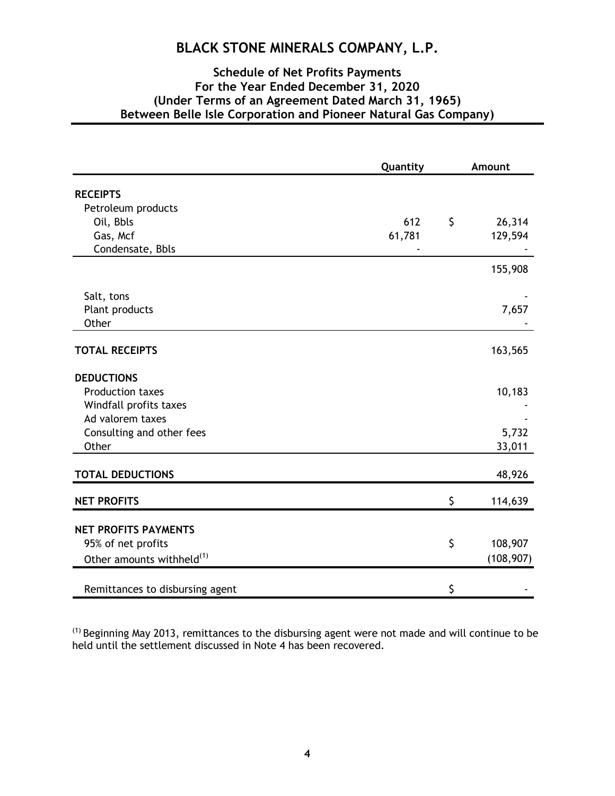### **Schedule of Net Profits Payments For the Year Ended December 31, 2020 (Under Terms of an Agreement Dated March 31, 1965) Between Belle Isle Corporation and Pioneer Natural Gas Company)**

|                                       | Quantity | Amount        |
|---------------------------------------|----------|---------------|
| <b>RECEIPTS</b>                       |          |               |
| Petroleum products                    |          |               |
| Oil, Bbls                             | 612      | \$<br>26,314  |
| Gas, Mcf                              | 61,781   | 129,594       |
| Condensate, Bbls                      |          |               |
|                                       |          | 155,908       |
| Salt, tons                            |          |               |
| Plant products                        |          | 7,657         |
| Other                                 |          |               |
| <b>TOTAL RECEIPTS</b>                 |          | 163,565       |
| <b>DEDUCTIONS</b>                     |          |               |
| Production taxes                      |          | 10,183        |
| Windfall profits taxes                |          |               |
| Ad valorem taxes                      |          |               |
| Consulting and other fees             |          | 5,732         |
| Other                                 |          | 33,011        |
| <b>TOTAL DEDUCTIONS</b>               |          | 48,926        |
| <b>NET PROFITS</b>                    |          | \$<br>114,639 |
| <b>NET PROFITS PAYMENTS</b>           |          |               |
| 95% of net profits                    |          | \$<br>108,907 |
|                                       |          | (108, 907)    |
| Other amounts withheld <sup>(1)</sup> |          |               |
| Remittances to disbursing agent       |          | \$            |

 $<sup>(1)</sup>$  Beginning May 2013, remittances to the disbursing agent were not made and will continue to be</sup> held until the settlement discussed in Note 4 has been recovered.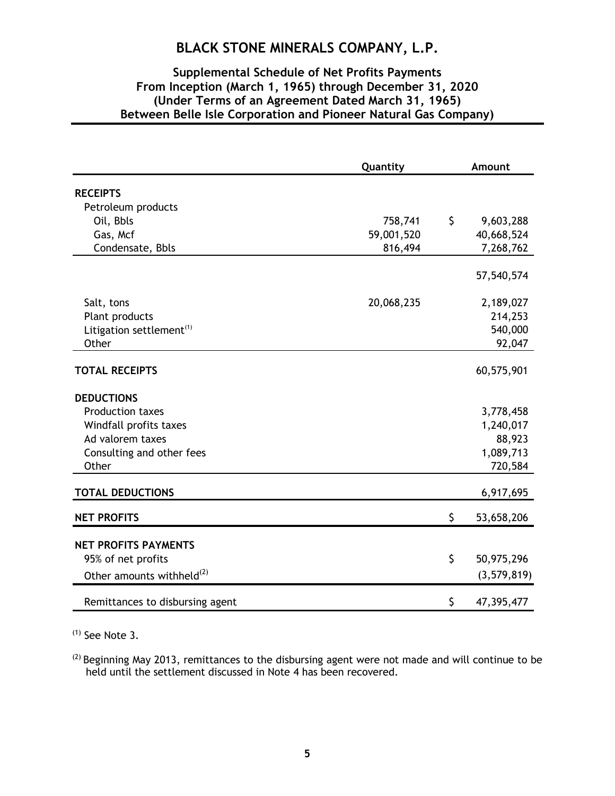### **Supplemental Schedule of Net Profits Payments From Inception (March 1, 1965) through December 31, 2020 (Under Terms of an Agreement Dated March 31, 1965) Between Belle Isle Corporation and Pioneer Natural Gas Company)**

|                                       | Quantity   | Amount           |
|---------------------------------------|------------|------------------|
| <b>RECEIPTS</b>                       |            |                  |
| Petroleum products                    |            |                  |
| Oil, Bbls                             | 758,741    | \$<br>9,603,288  |
| Gas, Mcf                              | 59,001,520 | 40,668,524       |
| Condensate, Bbls                      | 816,494    | 7,268,762        |
|                                       |            | 57,540,574       |
| Salt, tons                            | 20,068,235 | 2,189,027        |
| Plant products                        |            | 214,253          |
| Litigation settlement <sup>(1)</sup>  |            | 540,000          |
| Other                                 |            | 92,047           |
| <b>TOTAL RECEIPTS</b>                 |            | 60,575,901       |
| <b>DEDUCTIONS</b>                     |            |                  |
| Production taxes                      |            | 3,778,458        |
| Windfall profits taxes                |            | 1,240,017        |
| Ad valorem taxes                      |            | 88,923           |
| Consulting and other fees             |            | 1,089,713        |
| Other                                 |            | 720,584          |
| <b>TOTAL DEDUCTIONS</b>               |            | 6,917,695        |
| <b>NET PROFITS</b>                    |            | \$<br>53,658,206 |
| <b>NET PROFITS PAYMENTS</b>           |            |                  |
| 95% of net profits                    |            | \$<br>50,975,296 |
| Other amounts withheld <sup>(2)</sup> |            | (3,579,819)      |
| Remittances to disbursing agent       |            | \$<br>47,395,477 |

 $(1)$  See Note 3.

<sup>(2)</sup> Beginning May 2013, remittances to the disbursing agent were not made and will continue to be held until the settlement discussed in Note 4 has been recovered.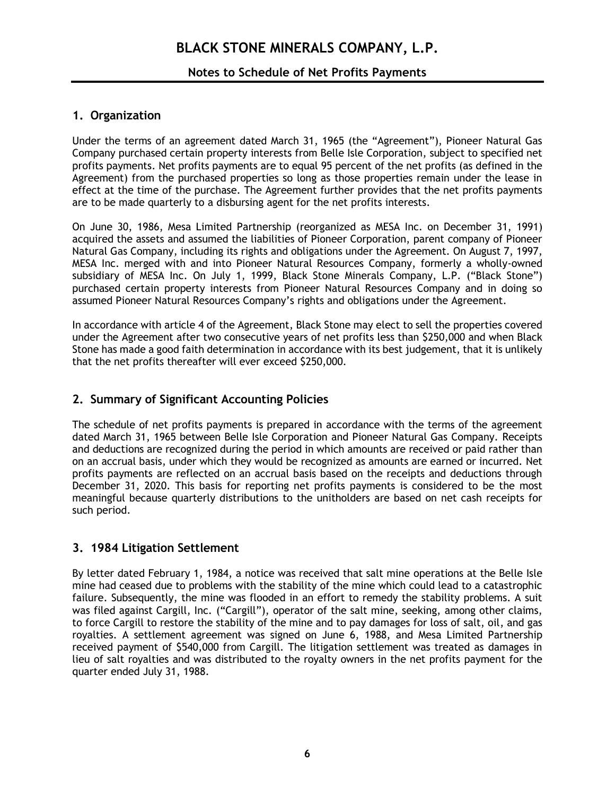### **Notes to Schedule of Net Profits Payments**

### **1. Organization**

Under the terms of an agreement dated March 31, 1965 (the "Agreement"), Pioneer Natural Gas Company purchased certain property interests from Belle Isle Corporation, subject to specified net profits payments. Net profits payments are to equal 95 percent of the net profits (as defined in the Agreement) from the purchased properties so long as those properties remain under the lease in effect at the time of the purchase. The Agreement further provides that the net profits payments are to be made quarterly to a disbursing agent for the net profits interests.

On June 30, 1986, Mesa Limited Partnership (reorganized as MESA Inc. on December 31, 1991) acquired the assets and assumed the liabilities of Pioneer Corporation, parent company of Pioneer Natural Gas Company, including its rights and obligations under the Agreement. On August 7, 1997, MESA Inc. merged with and into Pioneer Natural Resources Company, formerly a wholly-owned subsidiary of MESA Inc. On July 1, 1999, Black Stone Minerals Company, L.P. ("Black Stone") purchased certain property interests from Pioneer Natural Resources Company and in doing so assumed Pioneer Natural Resources Company's rights and obligations under the Agreement.

In accordance with article 4 of the Agreement, Black Stone may elect to sell the properties covered under the Agreement after two consecutive years of net profits less than \$250,000 and when Black Stone has made a good faith determination in accordance with its best judgement, that it is unlikely that the net profits thereafter will ever exceed \$250,000.

### **2. Summary of Significant Accounting Policies**

The schedule of net profits payments is prepared in accordance with the terms of the agreement dated March 31, 1965 between Belle Isle Corporation and Pioneer Natural Gas Company. Receipts and deductions are recognized during the period in which amounts are received or paid rather than on an accrual basis, under which they would be recognized as amounts are earned or incurred. Net profits payments are reflected on an accrual basis based on the receipts and deductions through December 31, 2020. This basis for reporting net profits payments is considered to be the most meaningful because quarterly distributions to the unitholders are based on net cash receipts for such period.

### **3. 1984 Litigation Settlement**

By letter dated February 1, 1984, a notice was received that salt mine operations at the Belle Isle mine had ceased due to problems with the stability of the mine which could lead to a catastrophic failure. Subsequently, the mine was flooded in an effort to remedy the stability problems. A suit was filed against Cargill, Inc. ("Cargill"), operator of the salt mine, seeking, among other claims, to force Cargill to restore the stability of the mine and to pay damages for loss of salt, oil, and gas royalties. A settlement agreement was signed on June 6, 1988, and Mesa Limited Partnership received payment of \$540,000 from Cargill. The litigation settlement was treated as damages in lieu of salt royalties and was distributed to the royalty owners in the net profits payment for the quarter ended July 31, 1988.